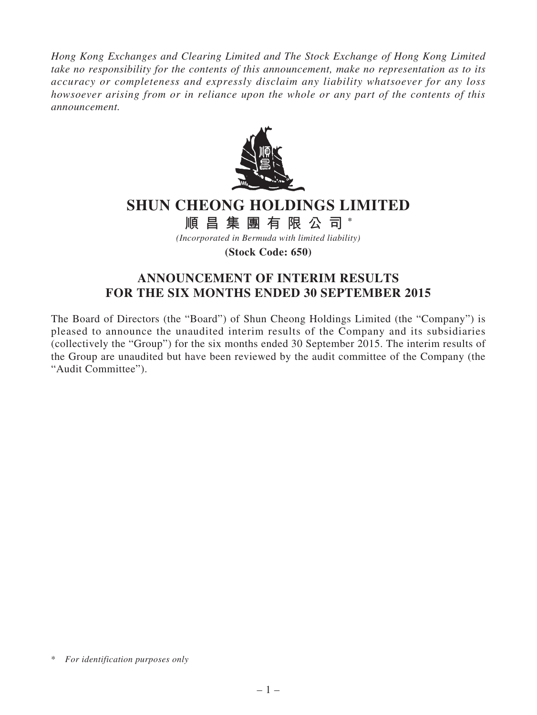*Hong Kong Exchanges and Clearing Limited and The Stock Exchange of Hong Kong Limited take no responsibility for the contents of this announcement, make no representation as to its accuracy or completeness and expressly disclaim any liability whatsoever for any loss howsoever arising from or in reliance upon the whole or any part of the contents of this announcement.*



# **SHUN CHEONG HOLDINGS LIMITED**

**順 昌 集 團 有 限 公 司 \***

*(Incorporated in Bermuda with limited liability)*

**(Stock Code: 650)**

# **ANNOUNCEMENT OF INTERIM RESULTS FOR THE SIX MONTHS ENDED 30 SEPTEMBER 2015**

The Board of Directors (the "Board") of Shun Cheong Holdings Limited (the "Company") is pleased to announce the unaudited interim results of the Company and its subsidiaries (collectively the "Group") for the six months ended 30 September 2015. The interim results of the Group are unaudited but have been reviewed by the audit committee of the Company (the "Audit Committee").

<sup>\*</sup> *For identification purposes only*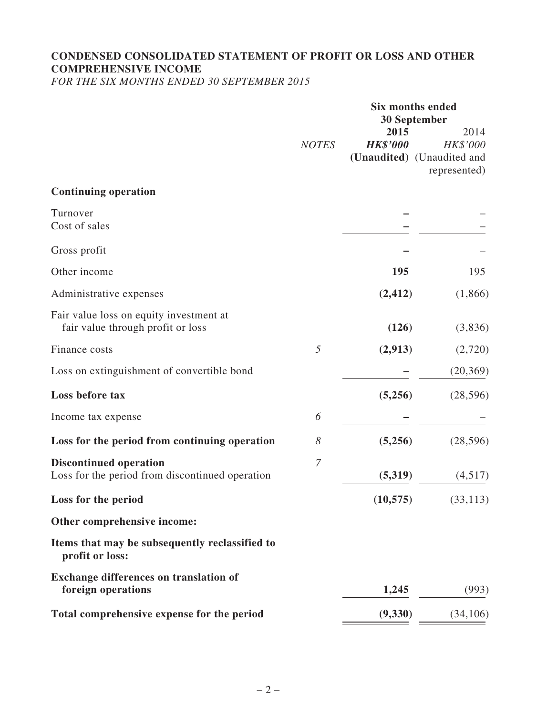# **CONDENSED CONSOLIDATED STATEMENT OF PROFIT OR LOSS AND OTHER COMPREHENSIVE INCOME**

*FOR THE SIX MONTHS ENDED 30 SEPTEMBER 2015*

|                                                                                  | <b>Six months ended</b> |                         |                                                                                       |  |
|----------------------------------------------------------------------------------|-------------------------|-------------------------|---------------------------------------------------------------------------------------|--|
|                                                                                  | <b>NOTES</b>            | 2015<br><b>HK\$'000</b> | <b>30 September</b><br>2014<br>HK\$'000<br>(Unaudited) (Unaudited and<br>represented) |  |
| <b>Continuing operation</b>                                                      |                         |                         |                                                                                       |  |
| Turnover<br>Cost of sales                                                        |                         |                         |                                                                                       |  |
| Gross profit                                                                     |                         |                         |                                                                                       |  |
| Other income                                                                     |                         | 195                     | 195                                                                                   |  |
| Administrative expenses                                                          |                         | (2, 412)                | (1,866)                                                                               |  |
| Fair value loss on equity investment at<br>fair value through profit or loss     |                         | (126)                   | (3,836)                                                                               |  |
| Finance costs                                                                    | 5                       | (2,913)                 | (2,720)                                                                               |  |
| Loss on extinguishment of convertible bond                                       |                         |                         | (20, 369)                                                                             |  |
| Loss before tax                                                                  |                         | (5,256)                 | (28, 596)                                                                             |  |
| Income tax expense                                                               | 6                       |                         |                                                                                       |  |
| Loss for the period from continuing operation                                    | 8                       | (5,256)                 | (28, 596)                                                                             |  |
| <b>Discontinued operation</b><br>Loss for the period from discontinued operation | $\overline{7}$          | (5,319)                 | (4,517)                                                                               |  |
| Loss for the period                                                              |                         | (10, 575)               | (33, 113)                                                                             |  |
| Other comprehensive income:                                                      |                         |                         |                                                                                       |  |
| Items that may be subsequently reclassified to<br>profit or loss:                |                         |                         |                                                                                       |  |
| <b>Exchange differences on translation of</b><br>foreign operations              |                         | 1,245                   | (993)                                                                                 |  |
| Total comprehensive expense for the period                                       |                         | (9, 330)                | (34, 106)                                                                             |  |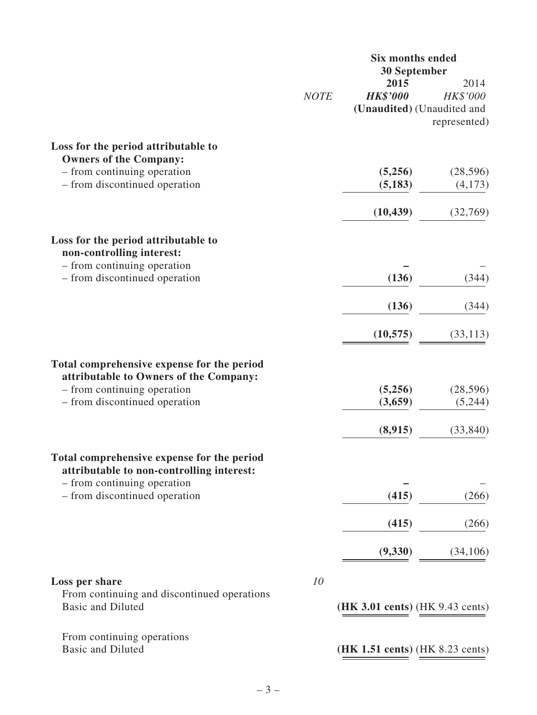|                                                                                           |             | <b>Six months ended</b><br><b>30 September</b>        |                                  |  |
|-------------------------------------------------------------------------------------------|-------------|-------------------------------------------------------|----------------------------------|--|
|                                                                                           | <b>NOTE</b> | 2015<br><b>HK\$'000</b><br>(Unaudited) (Unaudited and | 2014<br>HK\$'000<br>represented) |  |
| Loss for the period attributable to<br><b>Owners of the Company:</b>                      |             |                                                       |                                  |  |
| - from continuing operation<br>- from discontinued operation                              |             | (5,256)<br>(5, 183)                                   | (28, 596)<br>(4,173)             |  |
|                                                                                           |             | (10, 439)                                             | (32,769)                         |  |
| Loss for the period attributable to<br>non-controlling interest:                          |             |                                                       |                                  |  |
| - from continuing operation<br>- from discontinued operation                              |             | (136)                                                 | (344)                            |  |
|                                                                                           |             | (136)                                                 | (344)                            |  |
|                                                                                           |             | (10, 575)                                             | (33, 113)                        |  |
| Total comprehensive expense for the period<br>attributable to Owners of the Company:      |             |                                                       |                                  |  |
| - from continuing operation<br>- from discontinued operation                              |             | (5,256)<br>(3,659)                                    | (28, 596)<br>(5,244)             |  |
|                                                                                           |             | (8,915)                                               | (33, 840)                        |  |
| Total comprehensive expense for the period<br>attributable to non-controlling interest:   |             |                                                       |                                  |  |
| - from continuing operation<br>- from discontinued operation                              |             | (415)                                                 | (266)                            |  |
|                                                                                           |             | (415)                                                 | (266)                            |  |
|                                                                                           |             | (9, 330)                                              | (34,106)                         |  |
| Loss per share<br>From continuing and discontinued operations<br><b>Basic and Diluted</b> | 10          | ( <b>HK 3.01 cents</b> ) ( <b>HK 9.43 cents</b> )     |                                  |  |
| From continuing operations<br><b>Basic and Diluted</b>                                    |             | ( <b>HK 1.51 cents</b> ) ( <b>HK 8.23 cents</b> )     |                                  |  |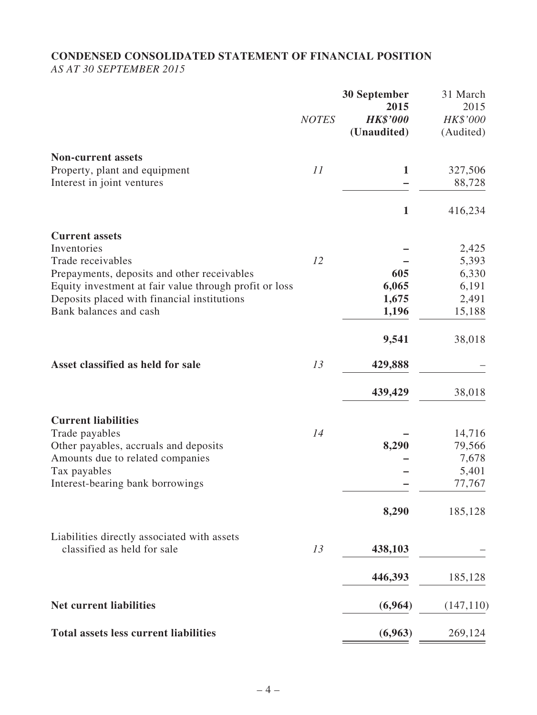# **CONDENSED CONSOLIDATED STATEMENT OF FINANCIAL POSITION** *AS AT 30 SEPTEMBER 2015*

|                                                             | <b>NOTES</b> | <b>30 September</b><br>2015<br><b>HK\$'000</b><br>(Unaudited) | 31 March<br>2015<br>HK\$'000<br>(Audited) |
|-------------------------------------------------------------|--------------|---------------------------------------------------------------|-------------------------------------------|
| <b>Non-current assets</b>                                   |              |                                                               |                                           |
| Property, plant and equipment<br>Interest in joint ventures | 11           | $\mathbf{1}$                                                  | 327,506<br>88,728                         |
|                                                             |              | $\mathbf{1}$                                                  | 416,234                                   |
| <b>Current assets</b>                                       |              |                                                               |                                           |
| Inventories                                                 |              |                                                               | 2,425                                     |
| Trade receivables                                           | 12           |                                                               | 5,393                                     |
| Prepayments, deposits and other receivables                 |              | 605                                                           | 6,330                                     |
| Equity investment at fair value through profit or loss      |              | 6,065                                                         | 6,191                                     |
| Deposits placed with financial institutions                 |              | 1,675                                                         | 2,491                                     |
| Bank balances and cash                                      |              | 1,196                                                         | 15,188                                    |
|                                                             |              | 9,541                                                         | 38,018                                    |
| Asset classified as held for sale                           | 13           | 429,888                                                       |                                           |
|                                                             |              | 439,429                                                       | 38,018                                    |
| <b>Current liabilities</b>                                  |              |                                                               |                                           |
| Trade payables                                              | 14           |                                                               | 14,716                                    |
| Other payables, accruals and deposits                       |              | 8,290                                                         | 79,566                                    |
| Amounts due to related companies                            |              |                                                               | 7,678                                     |
| Tax payables                                                |              |                                                               | 5,401                                     |
| Interest-bearing bank borrowings                            |              |                                                               | 77,767                                    |
|                                                             |              | 8,290                                                         | 185,128                                   |
| Liabilities directly associated with assets                 |              |                                                               |                                           |
| classified as held for sale                                 | 13           | 438,103                                                       |                                           |
|                                                             |              | 446,393                                                       | 185,128                                   |
| <b>Net current liabilities</b>                              |              | (6,964)                                                       | (147, 110)                                |
| <b>Total assets less current liabilities</b>                |              | (6,963)                                                       | 269,124                                   |
|                                                             |              |                                                               |                                           |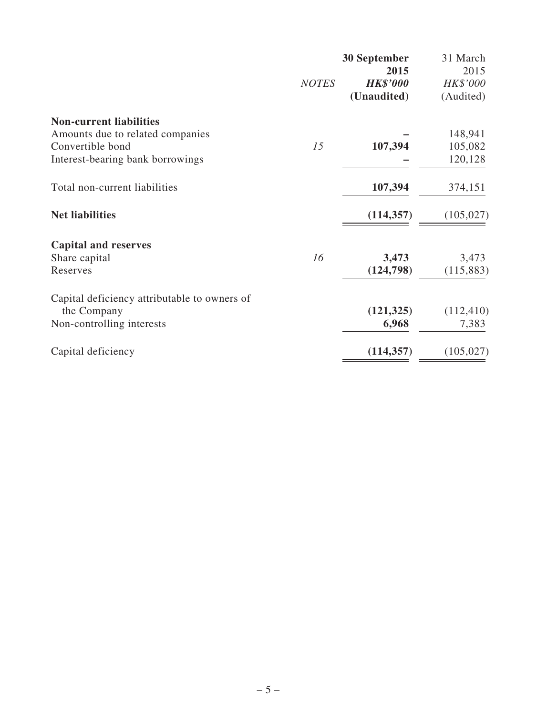|                                              | <b>NOTES</b> | 30 September<br>2015<br><b>HK\$'000</b><br>(Unaudited) | 31 March<br>2015<br>HK\$'000<br>(Audited) |
|----------------------------------------------|--------------|--------------------------------------------------------|-------------------------------------------|
| <b>Non-current liabilities</b>               |              |                                                        |                                           |
| Amounts due to related companies             |              |                                                        | 148,941                                   |
| Convertible bond                             | 15           | 107,394                                                | 105,082                                   |
| Interest-bearing bank borrowings             |              |                                                        | 120,128                                   |
| Total non-current liabilities                |              | 107,394                                                | 374,151                                   |
| <b>Net liabilities</b>                       |              | (114, 357)                                             | (105, 027)                                |
| <b>Capital and reserves</b>                  |              |                                                        |                                           |
| Share capital                                | 16           | 3,473                                                  | 3,473                                     |
| Reserves                                     |              | (124,798)                                              | (115, 883)                                |
| Capital deficiency attributable to owners of |              |                                                        |                                           |
| the Company                                  |              | (121, 325)                                             | (112, 410)                                |
| Non-controlling interests                    |              | 6,968                                                  | 7,383                                     |
| Capital deficiency                           |              | (114, 357)                                             | (105, 027)                                |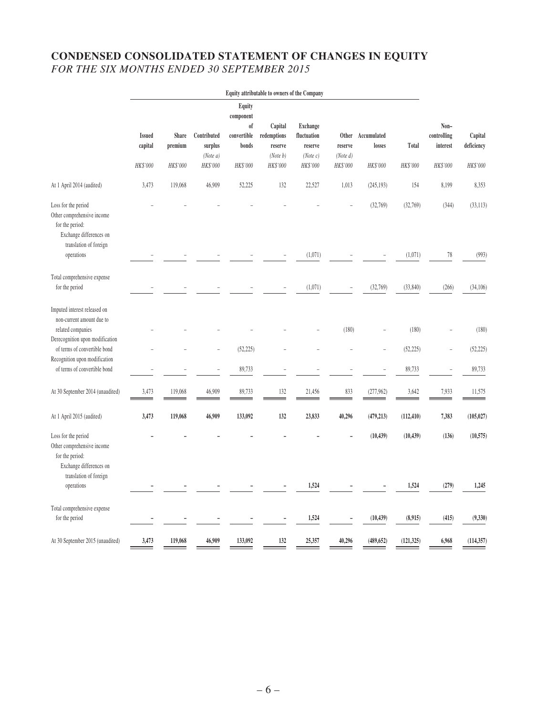# **CONDENSED CONSOLIDATED STATEMENT OF CHANGES IN EQUITY** *FOR THE SIX MONTHS ENDED 30 SEPTEMBER 2015*

|                                                                                                                           |                          |                  |                        |                            | Equity attributable to owners of the Company |                                           |                      |                             |            |                                 |                       |
|---------------------------------------------------------------------------------------------------------------------------|--------------------------|------------------|------------------------|----------------------------|----------------------------------------------|-------------------------------------------|----------------------|-----------------------------|------------|---------------------------------|-----------------------|
|                                                                                                                           |                          |                  |                        | Equity<br>component        |                                              |                                           |                      |                             |            |                                 |                       |
|                                                                                                                           | <b>Issued</b><br>capital | Share<br>premium | Contributed<br>surplus | of<br>convertible<br>bonds | Capital<br>redemptions<br>reserve            | <b>Exchange</b><br>fluctuation<br>reserve | reserve              | Other Accumulated<br>losses | Total      | Non-<br>controlling<br>interest | Capital<br>deficiency |
|                                                                                                                           | HK\$'000                 | HK\$'000         | (Note a)<br>HK\$'000   | HK\$'000                   | (Note b)<br>HK\$'000                         | (Note c)<br>HK\$'000                      | (Note d)<br>HK\$'000 | HK\$'000                    | HK\$'000   | HK\$'000                        | HK\$'000              |
| At 1 April 2014 (audited)                                                                                                 | 3,473                    | 119,068          | 46,909                 | 52,225                     | 132                                          | 22,527                                    | 1,013                | (245, 193)                  | 154        | 8,199                           | 8,353                 |
| Loss for the period<br>Other comprehensive income<br>for the period:<br>Exchange differences on<br>translation of foreign |                          |                  |                        |                            |                                              |                                           |                      | (32,769)                    | (32,769)   | (344)                           | (33, 113)             |
| operations                                                                                                                |                          |                  |                        |                            |                                              | (1,071)                                   |                      |                             | (1,071)    | 78                              | (993)                 |
| Total comprehensive expense<br>for the period                                                                             |                          |                  |                        |                            |                                              | (1,071)                                   |                      | (32,769)                    | (33, 840)  | (266)                           | (34, 106)             |
| Imputed interest released on<br>non-current amount due to<br>related companies                                            |                          |                  |                        |                            |                                              |                                           | (180)                |                             | (180)      |                                 | (180)                 |
| Derecognition upon modification<br>of terms of convertible bond                                                           |                          |                  |                        | (52, 225)                  |                                              |                                           |                      |                             | (52, 225)  |                                 | (52, 225)             |
| Recognition upon modification<br>of terms of convertible bond                                                             |                          |                  |                        | 89,733                     |                                              |                                           |                      |                             | 89,733     | L,                              | 89,733                |
| At 30 September 2014 (unaudited)                                                                                          | 3,473                    | 119,068          | 46,909                 | 89,733                     | 132                                          | 21,456                                    | 833                  | (277,962)                   | 3,642      | 7,933                           | 11,575                |
| At 1 April 2015 (audited)                                                                                                 | 3,473                    | 119,068          | 46,909                 | 133,092                    | 132                                          | 23,833                                    | 40,296               | (479, 213)                  | (112, 410) | 7,383                           | (105, 027)            |
| Loss for the period<br>Other comprehensive income<br>for the period:<br>Exchange differences on<br>translation of foreign |                          |                  |                        |                            |                                              |                                           |                      | (10, 439)                   | (10, 439)  | (136)                           | (10,575)              |
| operations                                                                                                                |                          |                  |                        |                            |                                              | 1,524                                     |                      |                             | 1,524      | (279)                           | 1,245                 |
| Total comprehensive expense<br>for the period                                                                             |                          |                  |                        |                            |                                              | 1,524                                     |                      | (10, 439)                   | (8,915)    | (415)                           | (9, 330)              |
| At 30 September 2015 (unaudited)                                                                                          | 3,473                    | 119,068          | 46,909                 | 133,092                    | 132                                          | 25,357                                    | 40,296               | (489, 652)                  | (121, 325) | 6,968                           | (114, 357)            |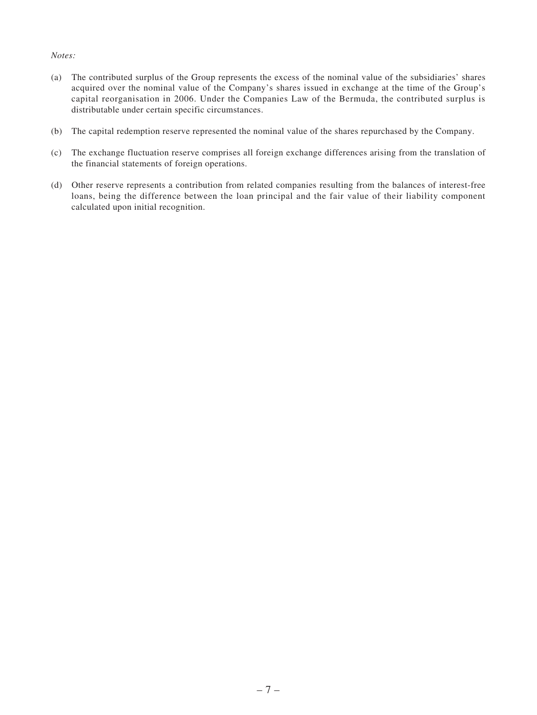#### *Notes:*

- (a) The contributed surplus of the Group represents the excess of the nominal value of the subsidiaries' shares acquired over the nominal value of the Company's shares issued in exchange at the time of the Group's capital reorganisation in 2006. Under the Companies Law of the Bermuda, the contributed surplus is distributable under certain specific circumstances.
- (b) The capital redemption reserve represented the nominal value of the shares repurchased by the Company.
- (c) The exchange fluctuation reserve comprises all foreign exchange differences arising from the translation of the financial statements of foreign operations.
- (d) Other reserve represents a contribution from related companies resulting from the balances of interest-free loans, being the difference between the loan principal and the fair value of their liability component calculated upon initial recognition.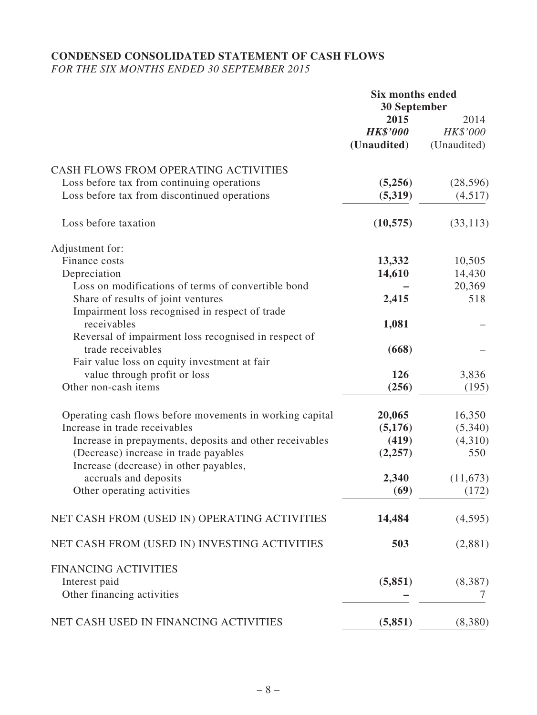### **CONDENSED CONSOLIDATED STATEMENT OF CASH FLOWS** *FOR THE SIX MONTHS ENDED 30 SEPTEMBER 2015*

|                                                                 | <b>Six months ended</b><br><b>30 September</b> |                  |  |
|-----------------------------------------------------------------|------------------------------------------------|------------------|--|
|                                                                 | 2015<br><b>HK\$'000</b>                        | 2014<br>HK\$'000 |  |
|                                                                 | (Unaudited)                                    | (Unaudited)      |  |
| CASH FLOWS FROM OPERATING ACTIVITIES                            |                                                |                  |  |
| Loss before tax from continuing operations                      | (5,256)                                        | (28, 596)        |  |
| Loss before tax from discontinued operations                    | (5,319)                                        | (4,517)          |  |
| Loss before taxation                                            | (10, 575)                                      | (33, 113)        |  |
| Adjustment for:                                                 |                                                |                  |  |
| Finance costs                                                   | 13,332                                         | 10,505           |  |
| Depreciation                                                    | 14,610                                         | 14,430           |  |
| Loss on modifications of terms of convertible bond              |                                                | 20,369           |  |
| Share of results of joint ventures                              | 2,415                                          | 518              |  |
| Impairment loss recognised in respect of trade                  |                                                |                  |  |
| receivables                                                     | 1,081                                          |                  |  |
| Reversal of impairment loss recognised in respect of            |                                                |                  |  |
| trade receivables                                               | (668)                                          |                  |  |
| Fair value loss on equity investment at fair                    |                                                |                  |  |
| value through profit or loss                                    | 126                                            | 3,836            |  |
| Other non-cash items                                            | (256)                                          | (195)            |  |
| Operating cash flows before movements in working capital        | 20,065                                         | 16,350           |  |
| Increase in trade receivables                                   | (5,176)                                        | (5,340)          |  |
| Increase in prepayments, deposits and other receivables         | (419)                                          | (4,310)          |  |
| (Decrease) increase in trade payables                           | (2, 257)                                       | 550              |  |
| Increase (decrease) in other payables,<br>accruals and deposits | 2,340                                          | (11,673)         |  |
| Other operating activities                                      | (69)                                           | (172)            |  |
|                                                                 |                                                |                  |  |
| NET CASH FROM (USED IN) OPERATING ACTIVITIES                    | 14,484                                         | (4, 595)         |  |
| NET CASH FROM (USED IN) INVESTING ACTIVITIES                    | 503                                            | (2,881)          |  |
| <b>FINANCING ACTIVITIES</b>                                     |                                                |                  |  |
| Interest paid                                                   | (5,851)                                        | (8,387)          |  |
| Other financing activities                                      |                                                | 7                |  |
| NET CASH USED IN FINANCING ACTIVITIES                           | (5,851)                                        | (8,380)          |  |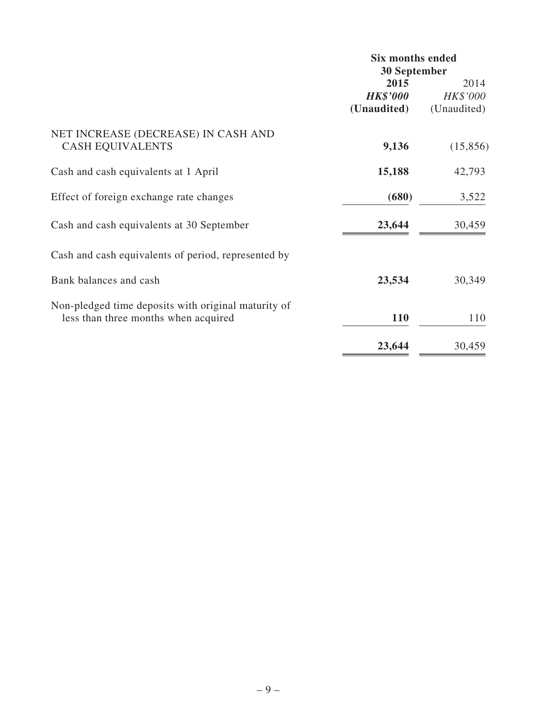|                                                                                             | <b>Six months ended</b><br><b>30 September</b> |                                 |  |
|---------------------------------------------------------------------------------------------|------------------------------------------------|---------------------------------|--|
|                                                                                             | 2015<br><b>HK\$'000</b><br>(Unaudited)         | 2014<br>HK\$'000<br>(Unaudited) |  |
| NET INCREASE (DECREASE) IN CASH AND<br><b>CASH EQUIVALENTS</b>                              | 9,136                                          | (15, 856)                       |  |
| Cash and cash equivalents at 1 April                                                        | 15,188                                         | 42,793                          |  |
| Effect of foreign exchange rate changes                                                     | (680)                                          | 3,522                           |  |
| Cash and cash equivalents at 30 September                                                   | 23,644                                         | 30,459                          |  |
| Cash and cash equivalents of period, represented by                                         |                                                |                                 |  |
| Bank balances and cash                                                                      | 23,534                                         | 30,349                          |  |
| Non-pledged time deposits with original maturity of<br>less than three months when acquired | <b>110</b>                                     | 110                             |  |
|                                                                                             | 23,644                                         | 30,459                          |  |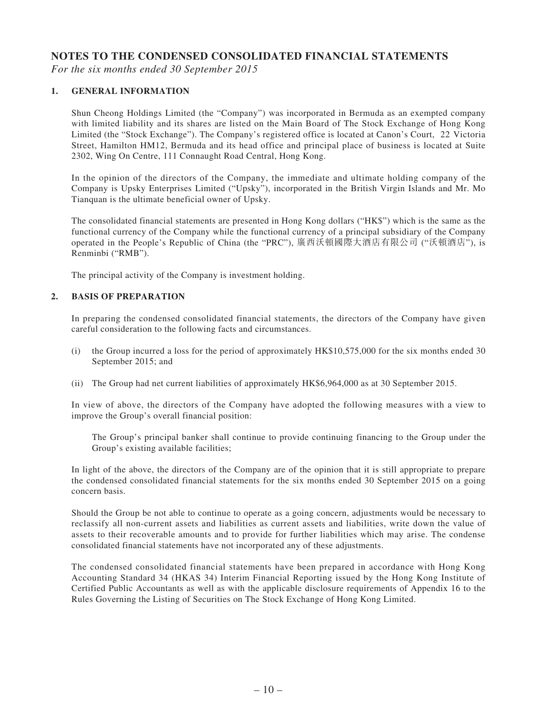### **NOTES TO THE CONDENSED CONSOLIDATED FINANCIAL STATEMENTS**

*For the six months ended 30 September 2015*

#### **1. GENERAL INFORMATION**

Shun Cheong Holdings Limited (the "Company") was incorporated in Bermuda as an exempted company with limited liability and its shares are listed on the Main Board of The Stock Exchange of Hong Kong Limited (the "Stock Exchange"). The Company's registered office is located at Canon's Court, 22 Victoria Street, Hamilton HM12, Bermuda and its head office and principal place of business is located at Suite 2302, Wing On Centre, 111 Connaught Road Central, Hong Kong.

In the opinion of the directors of the Company, the immediate and ultimate holding company of the Company is Upsky Enterprises Limited ("Upsky"), incorporated in the British Virgin Islands and Mr. Mo Tianquan is the ultimate beneficial owner of Upsky.

The consolidated financial statements are presented in Hong Kong dollars ("HK\$") which is the same as the functional currency of the Company while the functional currency of a principal subsidiary of the Company operated in the People's Republic of China (the "PRC"), 廣西沃頓國際大酒店有限公司 ("沃頓酒店"), is Renminbi ("RMB").

The principal activity of the Company is investment holding.

#### **2. BASIS OF PREPARATION**

In preparing the condensed consolidated financial statements, the directors of the Company have given careful consideration to the following facts and circumstances.

- (i) the Group incurred a loss for the period of approximately HK\$10,575,000 for the six months ended 30 September 2015; and
- (ii) The Group had net current liabilities of approximately HK\$6,964,000 as at 30 September 2015.

In view of above, the directors of the Company have adopted the following measures with a view to improve the Group's overall financial position:

The Group's principal banker shall continue to provide continuing financing to the Group under the Group's existing available facilities;

In light of the above, the directors of the Company are of the opinion that it is still appropriate to prepare the condensed consolidated financial statements for the six months ended 30 September 2015 on a going concern basis.

Should the Group be not able to continue to operate as a going concern, adjustments would be necessary to reclassify all non-current assets and liabilities as current assets and liabilities, write down the value of assets to their recoverable amounts and to provide for further liabilities which may arise. The condense consolidated financial statements have not incorporated any of these adjustments.

The condensed consolidated financial statements have been prepared in accordance with Hong Kong Accounting Standard 34 (HKAS 34) Interim Financial Reporting issued by the Hong Kong Institute of Certified Public Accountants as well as with the applicable disclosure requirements of Appendix 16 to the Rules Governing the Listing of Securities on The Stock Exchange of Hong Kong Limited.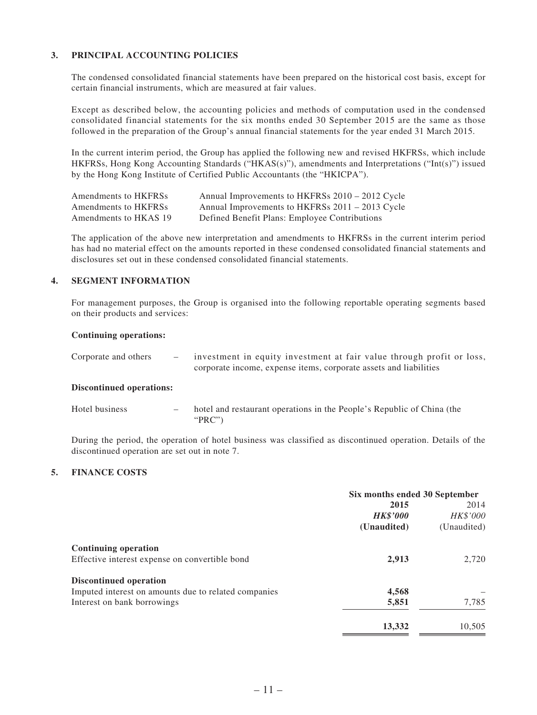#### **3. PRINCIPAL ACCOUNTING POLICIES**

The condensed consolidated financial statements have been prepared on the historical cost basis, except for certain financial instruments, which are measured at fair values.

Except as described below, the accounting policies and methods of computation used in the condensed consolidated financial statements for the six months ended 30 September 2015 are the same as those followed in the preparation of the Group's annual financial statements for the year ended 31 March 2015.

In the current interim period, the Group has applied the following new and revised HKFRSs, which include HKFRSs, Hong Kong Accounting Standards ("HKAS(s)"), amendments and Interpretations ("Int(s)") issued by the Hong Kong Institute of Certified Public Accountants (the "HKICPA").

| Amendments to HKFRSs  | Annual Improvements to HKFRSs 2010 – 2012 Cycle |
|-----------------------|-------------------------------------------------|
| Amendments to HKFRSs  | Annual Improvements to HKFRSs 2011 – 2013 Cycle |
| Amendments to HKAS 19 | Defined Benefit Plans: Employee Contributions   |

The application of the above new interpretation and amendments to HKFRSs in the current interim period has had no material effect on the amounts reported in these condensed consolidated financial statements and disclosures set out in these condensed consolidated financial statements.

#### **4. SEGMENT INFORMATION**

For management purposes, the Group is organised into the following reportable operating segments based on their products and services:

#### **Continuing operations:**

| Corporate and others                        | - investment in equity investment at fair value through profit or loss,<br>corporate income, expense items, corporate assets and liabilities |
|---------------------------------------------|----------------------------------------------------------------------------------------------------------------------------------------------|
| $\mathbf{D}^*$ is the set of $\mathbf{D}^*$ |                                                                                                                                              |

#### **Discontinued operations:**

| Hotel business | hotel and restaurant operations in the People's Republic of China (the |
|----------------|------------------------------------------------------------------------|
|                | " $PRC$ "                                                              |

During the period, the operation of hotel business was classified as discontinued operation. Details of the discontinued operation are set out in note 7.

#### **5. FINANCE COSTS**

|                                                      | Six months ended 30 September |             |  |
|------------------------------------------------------|-------------------------------|-------------|--|
|                                                      | 2015                          | 2014        |  |
|                                                      | <b>HK\$'000</b>               | HK\$'000    |  |
|                                                      | (Unaudited)                   | (Unaudited) |  |
| <b>Continuing operation</b>                          |                               |             |  |
| Effective interest expense on convertible bond       | 2,913                         | 2,720       |  |
| Discontinued operation                               |                               |             |  |
| Imputed interest on amounts due to related companies | 4,568                         |             |  |
| Interest on bank borrowings                          | 5,851                         | 7,785       |  |
|                                                      | 13,332                        | 10,505      |  |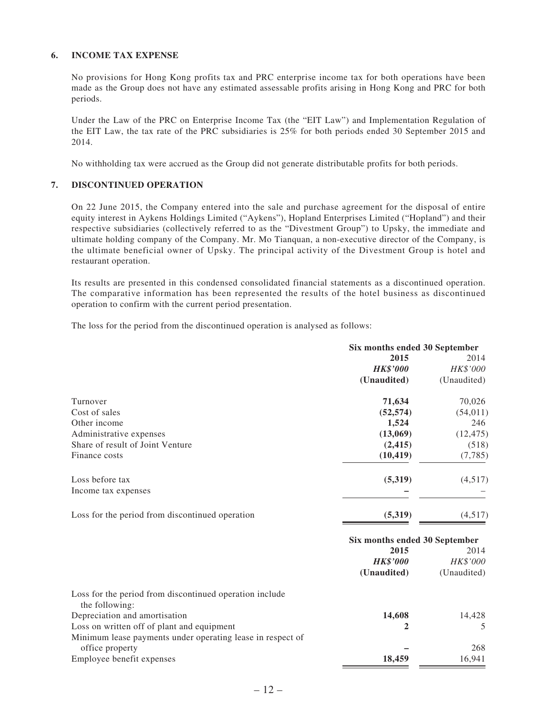#### **6. INCOME TAX EXPENSE**

No provisions for Hong Kong profits tax and PRC enterprise income tax for both operations have been made as the Group does not have any estimated assessable profits arising in Hong Kong and PRC for both periods.

Under the Law of the PRC on Enterprise Income Tax (the "EIT Law") and Implementation Regulation of the EIT Law, the tax rate of the PRC subsidiaries is 25% for both periods ended 30 September 2015 and 2014.

No withholding tax were accrued as the Group did not generate distributable profits for both periods.

#### **7. DISCONTINUED OPERATION**

On 22 June 2015, the Company entered into the sale and purchase agreement for the disposal of entire equity interest in Aykens Holdings Limited ("Aykens"), Hopland Enterprises Limited ("Hopland") and their respective subsidiaries (collectively referred to as the "Divestment Group") to Upsky, the immediate and ultimate holding company of the Company. Mr. Mo Tianquan, a non-executive director of the Company, is the ultimate beneficial owner of Upsky. The principal activity of the Divestment Group is hotel and restaurant operation.

Its results are presented in this condensed consolidated financial statements as a discontinued operation. The comparative information has been represented the results of the hotel business as discontinued operation to confirm with the current period presentation.

The loss for the period from the discontinued operation is analysed as follows:

|                                                                           | Six months ended 30 September |             |  |
|---------------------------------------------------------------------------|-------------------------------|-------------|--|
|                                                                           | 2015                          | 2014        |  |
|                                                                           | <b>HK\$'000</b>               | HK\$'000    |  |
|                                                                           | (Unaudited)                   | (Unaudited) |  |
| Turnover                                                                  | 71,634                        | 70,026      |  |
| Cost of sales                                                             | (52, 574)                     | (54, 011)   |  |
| Other income                                                              | 1,524                         | 246         |  |
| Administrative expenses                                                   | (13,069)                      | (12, 475)   |  |
| Share of result of Joint Venture                                          | (2, 415)                      | (518)       |  |
| Finance costs                                                             | (10, 419)                     | (7,785)     |  |
| Loss before tax                                                           | (5,319)                       | (4,517)     |  |
| Income tax expenses                                                       |                               |             |  |
| Loss for the period from discontinued operation                           | (5,319)                       | (4,517)     |  |
|                                                                           | Six months ended 30 September |             |  |
|                                                                           | 2015                          | 2014        |  |
|                                                                           | <b>HK\$'000</b>               | HK\$'000    |  |
|                                                                           | (Unaudited)                   | (Unaudited) |  |
| Loss for the period from discontinued operation include<br>the following: |                               |             |  |
| Depreciation and amortisation                                             | 14,608                        | 14,428      |  |
| Loss on written off of plant and equipment                                | 2                             | 5           |  |
| Minimum lease payments under operating lease in respect of                |                               |             |  |
| office property                                                           |                               | 268         |  |
| Employee benefit expenses                                                 | 18,459                        | 16,941      |  |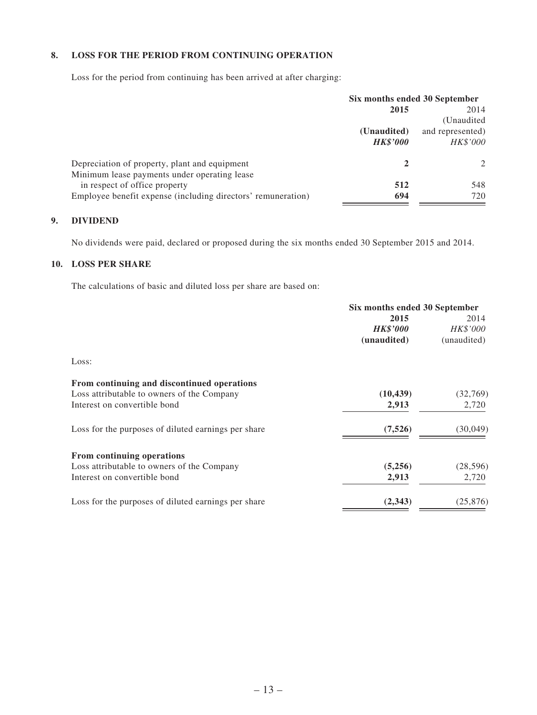#### **8. LOSS FOR THE PERIOD FROM CONTINUING OPERATION**

Loss for the period from continuing has been arrived at after charging:

|                                                              | Six months ended 30 September  |                                     |
|--------------------------------------------------------------|--------------------------------|-------------------------------------|
|                                                              | 2014<br>2015                   |                                     |
|                                                              | (Unaudited)                    |                                     |
|                                                              | (Unaudited)<br><b>HK\$'000</b> | and represented)<br><b>HK\$'000</b> |
| Depreciation of property, plant and equipment                | 2                              | $\mathcal{L}$                       |
| Minimum lease payments under operating lease                 |                                |                                     |
| in respect of office property                                | 512                            | 548                                 |
| Employee benefit expense (including directors' remuneration) | 694                            | 720                                 |

#### **9. DIVIDEND**

No dividends were paid, declared or proposed during the six months ended 30 September 2015 and 2014.

#### **10. LOSS PER SHARE**

The calculations of basic and diluted loss per share are based on:

|                                                     | Six months ended 30 September |             |
|-----------------------------------------------------|-------------------------------|-------------|
|                                                     | 2015                          |             |
|                                                     | <b>HK\$'000</b>               | HK\$'000    |
|                                                     | (unaudited)                   | (unaudited) |
| Loss:                                               |                               |             |
| From continuing and discontinued operations         |                               |             |
| Loss attributable to owners of the Company          | (10, 439)                     | (32,769)    |
| Interest on convertible bond                        | 2,913                         | 2,720       |
| Loss for the purposes of diluted earnings per share | (7,526)                       | (30,049)    |
| From continuing operations                          |                               |             |
| Loss attributable to owners of the Company          | (5,256)                       | (28, 596)   |
| Interest on convertible bond                        | 2,913                         | 2,720       |
| Loss for the purposes of diluted earnings per share | (2,343)                       | (25, 876)   |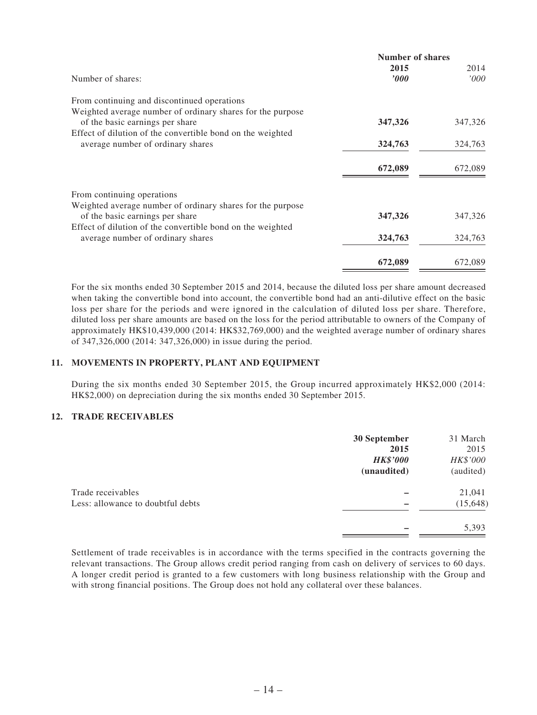| Number of shares |         |
|------------------|---------|
| 2015             | 2014    |
| $\bm{v}$         | 000'    |
|                  |         |
|                  |         |
| 347,326          | 347,326 |
|                  |         |
| 324,763          | 324,763 |
|                  |         |
|                  | 672,089 |
|                  |         |
|                  |         |
|                  |         |
| 347,326          | 347,326 |
|                  |         |
| 324,763          | 324,763 |
|                  |         |
| 672,089          | 672,089 |
|                  | 672,089 |

For the six months ended 30 September 2015 and 2014, because the diluted loss per share amount decreased when taking the convertible bond into account, the convertible bond had an anti-dilutive effect on the basic loss per share for the periods and were ignored in the calculation of diluted loss per share. Therefore, diluted loss per share amounts are based on the loss for the period attributable to owners of the Company of approximately HK\$10,439,000 (2014: HK\$32,769,000) and the weighted average number of ordinary shares of 347,326,000 (2014: 347,326,000) in issue during the period.

#### **11. MOVEMENTS IN PROPERTY, PLANT AND EQUIPMENT**

During the six months ended 30 September 2015, the Group incurred approximately HK\$2,000 (2014: HK\$2,000) on depreciation during the six months ended 30 September 2015.

#### **12. TRADE RECEIVABLES**

|                                   | 30 September    | 31 March  |
|-----------------------------------|-----------------|-----------|
|                                   | 2015            | 2015      |
|                                   | <b>HK\$'000</b> | HK\$'000  |
|                                   | (unaudited)     | (audited) |
| Trade receivables                 |                 | 21,041    |
| Less: allowance to doubtful debts |                 | (15, 648) |
|                                   |                 | 5,393     |
|                                   |                 |           |

Settlement of trade receivables is in accordance with the terms specified in the contracts governing the relevant transactions. The Group allows credit period ranging from cash on delivery of services to 60 days. A longer credit period is granted to a few customers with long business relationship with the Group and with strong financial positions. The Group does not hold any collateral over these balances.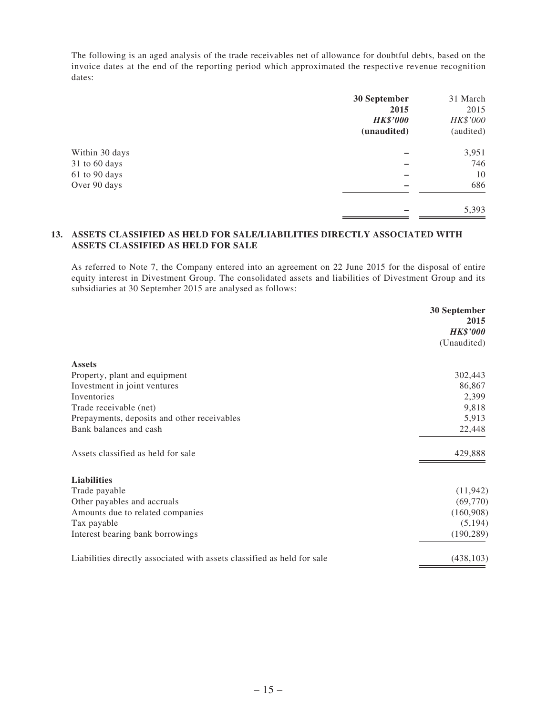The following is an aged analysis of the trade receivables net of allowance for doubtful debts, based on the invoice dates at the end of the reporting period which approximated the respective revenue recognition dates:

|                   | 30 September    | 31 March  |
|-------------------|-----------------|-----------|
|                   | 2015            | 2015      |
|                   | <b>HK\$'000</b> | HK\$'000  |
|                   | (unaudited)     | (audited) |
| Within 30 days    |                 | 3,951     |
| $31$ to $60$ days |                 | 746       |
| 61 to 90 days     |                 | 10        |
| Over 90 days      |                 | 686       |
|                   |                 | 5,393     |

#### **13. ASSETS CLASSIFIED AS HELD FOR SALE/LIABILITIES DIRECTLY ASSOCIATED WITH ASSETS CLASSIFIED AS HELD FOR SALE**

As referred to Note 7, the Company entered into an agreement on 22 June 2015 for the disposal of entire equity interest in Divestment Group. The consolidated assets and liabilities of Divestment Group and its subsidiaries at 30 September 2015 are analysed as follows:

|                                                                         | 30 September    |
|-------------------------------------------------------------------------|-----------------|
|                                                                         | 2015            |
|                                                                         | <b>HK\$'000</b> |
|                                                                         | (Unaudited)     |
| <b>Assets</b>                                                           |                 |
| Property, plant and equipment                                           | 302,443         |
| Investment in joint ventures                                            | 86,867          |
| Inventories                                                             | 2,399           |
| Trade receivable (net)                                                  | 9,818           |
| Prepayments, deposits and other receivables                             | 5,913           |
| Bank balances and cash                                                  | 22,448          |
| Assets classified as held for sale                                      | 429,888         |
| <b>Liabilities</b>                                                      |                 |
| Trade payable                                                           | (11, 942)       |
| Other payables and accruals                                             | (69,770)        |
| Amounts due to related companies                                        | (160,908)       |
| Tax payable                                                             | (5,194)         |
| Interest bearing bank borrowings                                        | (190, 289)      |
| Liabilities directly associated with assets classified as held for sale | (438, 103)      |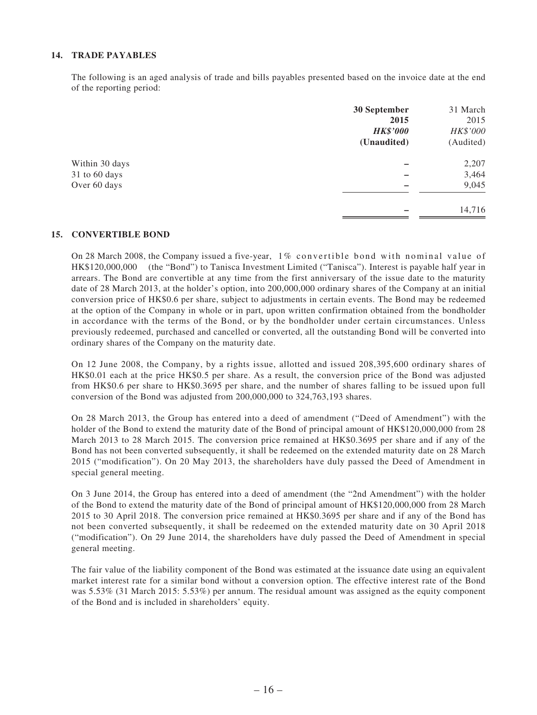#### **14. TRADE PAYABLES**

The following is an aged analysis of trade and bills payables presented based on the invoice date at the end of the reporting period:

|                | 30 September    | 31 March  |
|----------------|-----------------|-----------|
|                | 2015            | 2015      |
|                | <b>HK\$'000</b> | HK\$'000  |
|                | (Unaudited)     | (Audited) |
| Within 30 days |                 | 2,207     |
| 31 to 60 days  |                 | 3,464     |
| Over 60 days   |                 | 9,045     |
|                |                 | 14,716    |

#### **15. CONVERTIBLE BOND**

On 28 March 2008, the Company issued a five-year, 1% convertible bond with nominal value of HK\$120,000,000 (the "Bond") to Tanisca Investment Limited ("Tanisca"). Interest is payable half year in arrears. The Bond are convertible at any time from the first anniversary of the issue date to the maturity date of 28 March 2013, at the holder's option, into 200,000,000 ordinary shares of the Company at an initial conversion price of HK\$0.6 per share, subject to adjustments in certain events. The Bond may be redeemed at the option of the Company in whole or in part, upon written confirmation obtained from the bondholder in accordance with the terms of the Bond, or by the bondholder under certain circumstances. Unless previously redeemed, purchased and cancelled or converted, all the outstanding Bond will be converted into ordinary shares of the Company on the maturity date.

On 12 June 2008, the Company, by a rights issue, allotted and issued 208,395,600 ordinary shares of HK\$0.01 each at the price HK\$0.5 per share. As a result, the conversion price of the Bond was adjusted from HK\$0.6 per share to HK\$0.3695 per share, and the number of shares falling to be issued upon full conversion of the Bond was adjusted from 200,000,000 to 324,763,193 shares.

On 28 March 2013, the Group has entered into a deed of amendment ("Deed of Amendment") with the holder of the Bond to extend the maturity date of the Bond of principal amount of HK\$120,000,000 from 28 March 2013 to 28 March 2015. The conversion price remained at HK\$0.3695 per share and if any of the Bond has not been converted subsequently, it shall be redeemed on the extended maturity date on 28 March 2015 ("modification"). On 20 May 2013, the shareholders have duly passed the Deed of Amendment in special general meeting.

On 3 June 2014, the Group has entered into a deed of amendment (the "2nd Amendment") with the holder of the Bond to extend the maturity date of the Bond of principal amount of HK\$120,000,000 from 28 March 2015 to 30 April 2018. The conversion price remained at HK\$0.3695 per share and if any of the Bond has not been converted subsequently, it shall be redeemed on the extended maturity date on 30 April 2018 ("modification"). On 29 June 2014, the shareholders have duly passed the Deed of Amendment in special general meeting.

The fair value of the liability component of the Bond was estimated at the issuance date using an equivalent market interest rate for a similar bond without a conversion option. The effective interest rate of the Bond was 5.53% (31 March 2015: 5.53%) per annum. The residual amount was assigned as the equity component of the Bond and is included in shareholders' equity.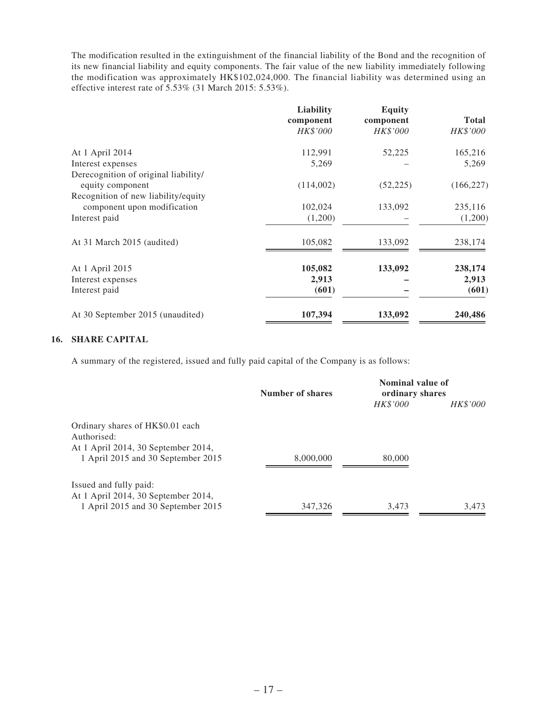The modification resulted in the extinguishment of the financial liability of the Bond and the recognition of its new financial liability and equity components. The fair value of the new liability immediately following the modification was approximately HK\$102,024,000. The financial liability was determined using an effective interest rate of 5.53% (31 March 2015: 5.53%).

| Liability | <b>Equity</b>    |                                 |
|-----------|------------------|---------------------------------|
| component | component        | <b>Total</b>                    |
| HK\$'000  | HK\$'000         | HK\$'000                        |
| 112,991   | 52,225           | 165,216                         |
| 5,269     |                  | 5,269                           |
|           |                  |                                 |
| (114,002) |                  | (166, 227)                      |
|           |                  |                                 |
| 102,024   |                  | 235,116                         |
| (1,200)   |                  | (1,200)                         |
| 105,082   | 133,092          | 238,174                         |
|           |                  | 238,174                         |
|           |                  | 2,913                           |
| (601)     |                  | (601)                           |
| 107,394   | 133,092          | 240,486                         |
|           | 105,082<br>2,913 | (52, 225)<br>133,092<br>133,092 |

#### **16. SHARE CAPITAL**

A summary of the registered, issued and fully paid capital of the Company is as follows:

|                                                                           | Number of shares | Nominal value of<br>ordinary shares |                 |
|---------------------------------------------------------------------------|------------------|-------------------------------------|-----------------|
|                                                                           |                  | <i>HK\$'000</i>                     | <i>HK\$'000</i> |
| Ordinary shares of HK\$0.01 each<br>Authorised:                           |                  |                                     |                 |
| At 1 April 2014, 30 September 2014,<br>1 April 2015 and 30 September 2015 | 8,000,000        | 80,000                              |                 |
| Issued and fully paid:<br>At 1 April 2014, 30 September 2014,             |                  |                                     |                 |
| 1 April 2015 and 30 September 2015                                        | 347,326          | 3,473                               | 3.473           |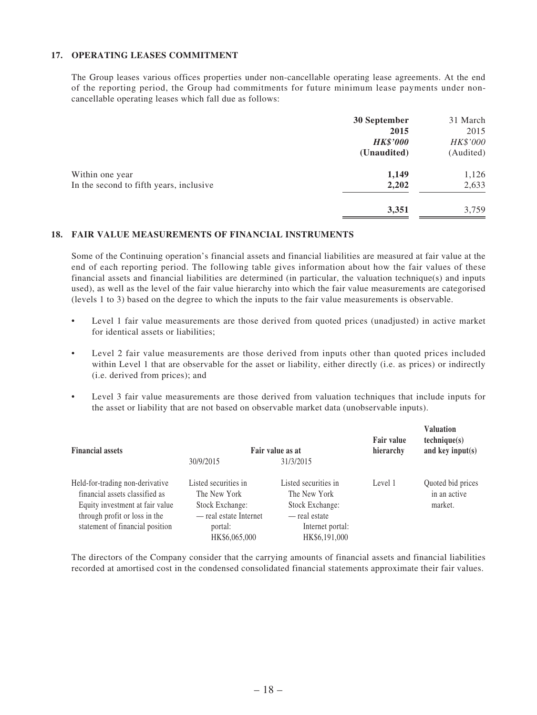#### **17. OPERATING LEASES COMMITMENT**

The Group leases various offices properties under non-cancellable operating lease agreements. At the end of the reporting period, the Group had commitments for future minimum lease payments under noncancellable operating leases which fall due as follows:

|                                         | 30 September    | 31 March  |
|-----------------------------------------|-----------------|-----------|
|                                         | 2015            | 2015      |
|                                         | <b>HK\$'000</b> | HK\$'000  |
|                                         | (Unaudited)     | (Audited) |
| Within one year                         | 1,149           | 1,126     |
| In the second to fifth years, inclusive | 2,202           | 2,633     |
|                                         | 3,351           | 3,759     |

#### **18. FAIR VALUE MEASUREMENTS OF FINANCIAL INSTRUMENTS**

Some of the Continuing operation's financial assets and financial liabilities are measured at fair value at the end of each reporting period. The following table gives information about how the fair values of these financial assets and financial liabilities are determined (in particular, the valuation technique(s) and inputs used), as well as the level of the fair value hierarchy into which the fair value measurements are categorised (levels 1 to 3) based on the degree to which the inputs to the fair value measurements is observable.

- • Level 1 fair value measurements are those derived from quoted prices (unadjusted) in active market for identical assets or liabilities;
- Level 2 fair value measurements are those derived from inputs other than quoted prices included within Level 1 that are observable for the asset or liability, either directly (i.e. as prices) or indirectly (i.e. derived from prices); and
- • Level 3 fair value measurements are those derived from valuation techniques that include inputs for the asset or liability that are not based on observable market data (unobservable inputs).

| <b>Financial assets</b>                                                                                                                                                  |                                                                                                               | Fair value as at                                                                                              | <b>Fair value</b><br>hierarchy | <b>Valuation</b><br>technique(s)<br>and key input $(s)$ |
|--------------------------------------------------------------------------------------------------------------------------------------------------------------------------|---------------------------------------------------------------------------------------------------------------|---------------------------------------------------------------------------------------------------------------|--------------------------------|---------------------------------------------------------|
|                                                                                                                                                                          | 30/9/2015                                                                                                     | 31/3/2015                                                                                                     |                                |                                                         |
| Held-for-trading non-derivative<br>financial assets classified as<br>Equity investment at fair value<br>through profit or loss in the<br>statement of financial position | Listed securities in<br>The New York<br>Stock Exchange:<br>— real estate Internet<br>portal:<br>HK\$6,065,000 | Listed securities in<br>The New York<br>Stock Exchange:<br>— real estate<br>Internet portal:<br>HK\$6,191,000 | Level 1                        | Quoted bid prices<br>in an active<br>market.            |

The directors of the Company consider that the carrying amounts of financial assets and financial liabilities recorded at amortised cost in the condensed consolidated financial statements approximate their fair values.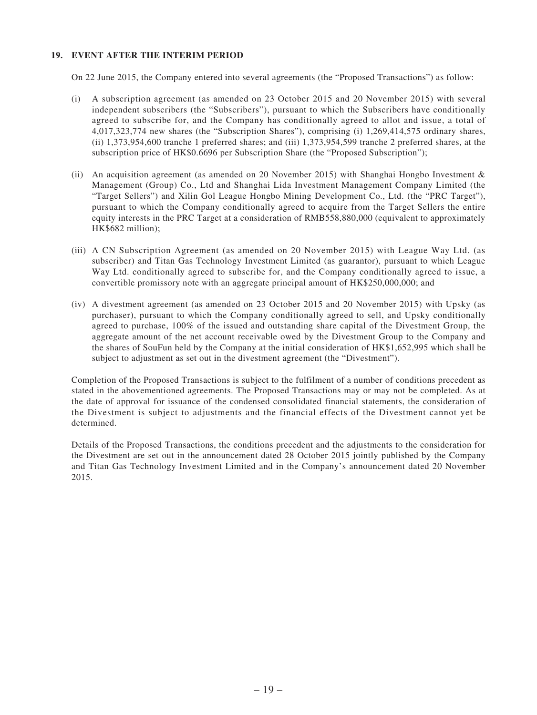#### **19. EVENT AFTER THE INTERIM PERIOD**

On 22 June 2015, the Company entered into several agreements (the "Proposed Transactions") as follow:

- (i) A subscription agreement (as amended on 23 October 2015 and 20 November 2015) with several independent subscribers (the "Subscribers"), pursuant to which the Subscribers have conditionally agreed to subscribe for, and the Company has conditionally agreed to allot and issue, a total of 4,017,323,774 new shares (the "Subscription Shares"), comprising (i) 1,269,414,575 ordinary shares, (ii) 1,373,954,600 tranche 1 preferred shares; and (iii) 1,373,954,599 tranche 2 preferred shares, at the subscription price of HK\$0.6696 per Subscription Share (the "Proposed Subscription");
- (ii) An acquisition agreement (as amended on 20 November 2015) with Shanghai Hongbo Investment & Management (Group) Co., Ltd and Shanghai Lida Investment Management Company Limited (the "Target Sellers") and Xilin Gol League Hongbo Mining Development Co., Ltd. (the "PRC Target"), pursuant to which the Company conditionally agreed to acquire from the Target Sellers the entire equity interests in the PRC Target at a consideration of RMB558,880,000 (equivalent to approximately HK\$682 million);
- (iii) A CN Subscription Agreement (as amended on 20 November 2015) with League Way Ltd. (as subscriber) and Titan Gas Technology Investment Limited (as guarantor), pursuant to which League Way Ltd. conditionally agreed to subscribe for, and the Company conditionally agreed to issue, a convertible promissory note with an aggregate principal amount of HK\$250,000,000; and
- (iv) A divestment agreement (as amended on 23 October 2015 and 20 November 2015) with Upsky (as purchaser), pursuant to which the Company conditionally agreed to sell, and Upsky conditionally agreed to purchase, 100% of the issued and outstanding share capital of the Divestment Group, the aggregate amount of the net account receivable owed by the Divestment Group to the Company and the shares of SouFun held by the Company at the initial consideration of HK\$1,652,995 which shall be subject to adjustment as set out in the divestment agreement (the "Divestment").

Completion of the Proposed Transactions is subject to the fulfilment of a number of conditions precedent as stated in the abovementioned agreements. The Proposed Transactions may or may not be completed. As at the date of approval for issuance of the condensed consolidated financial statements, the consideration of the Divestment is subject to adjustments and the financial effects of the Divestment cannot yet be determined.

Details of the Proposed Transactions, the conditions precedent and the adjustments to the consideration for the Divestment are set out in the announcement dated 28 October 2015 jointly published by the Company and Titan Gas Technology Investment Limited and in the Company's announcement dated 20 November 2015.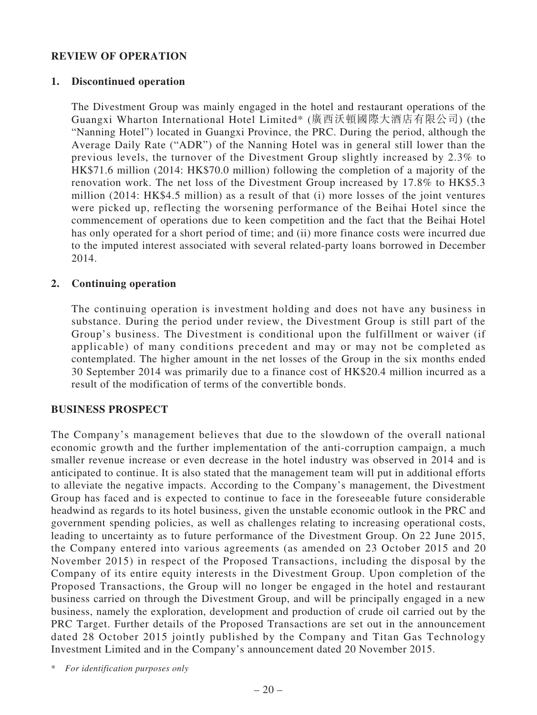### **REVIEW OF OPERATION**

### **1. Discontinued operation**

The Divestment Group was mainly engaged in the hotel and restaurant operations of the Guangxi Wharton International Hotel Limited\* (廣西沃頓國際大酒店有限公司) (the "Nanning Hotel") located in Guangxi Province, the PRC. During the period, although the Average Daily Rate ("ADR") of the Nanning Hotel was in general still lower than the previous levels, the turnover of the Divestment Group slightly increased by 2.3% to HK\$71.6 million (2014: HK\$70.0 million) following the completion of a majority of the renovation work. The net loss of the Divestment Group increased by 17.8% to HK\$5.3 million (2014: HK\$4.5 million) as a result of that (i) more losses of the joint ventures were picked up, reflecting the worsening performance of the Beihai Hotel since the commencement of operations due to keen competition and the fact that the Beihai Hotel has only operated for a short period of time; and (ii) more finance costs were incurred due to the imputed interest associated with several related-party loans borrowed in December 2014.

### **2. Continuing operation**

The continuing operation is investment holding and does not have any business in substance. During the period under review, the Divestment Group is still part of the Group's business. The Divestment is conditional upon the fulfillment or waiver (if applicable) of many conditions precedent and may or may not be completed as contemplated. The higher amount in the net losses of the Group in the six months ended 30 September 2014 was primarily due to a finance cost of HK\$20.4 million incurred as a result of the modification of terms of the convertible bonds.

### **BUSINESS PROSPECT**

The Company's management believes that due to the slowdown of the overall national economic growth and the further implementation of the anti-corruption campaign, a much smaller revenue increase or even decrease in the hotel industry was observed in 2014 and is anticipated to continue. It is also stated that the management team will put in additional efforts to alleviate the negative impacts. According to the Company's management, the Divestment Group has faced and is expected to continue to face in the foreseeable future considerable headwind as regards to its hotel business, given the unstable economic outlook in the PRC and government spending policies, as well as challenges relating to increasing operational costs, leading to uncertainty as to future performance of the Divestment Group. On 22 June 2015, the Company entered into various agreements (as amended on 23 October 2015 and 20 November 2015) in respect of the Proposed Transactions, including the disposal by the Company of its entire equity interests in the Divestment Group. Upon completion of the Proposed Transactions, the Group will no longer be engaged in the hotel and restaurant business carried on through the Divestment Group, and will be principally engaged in a new business, namely the exploration, development and production of crude oil carried out by the PRC Target. Further details of the Proposed Transactions are set out in the announcement dated 28 October 2015 jointly published by the Company and Titan Gas Technology Investment Limited and in the Company's announcement dated 20 November 2015.

\* *For identification purposes only*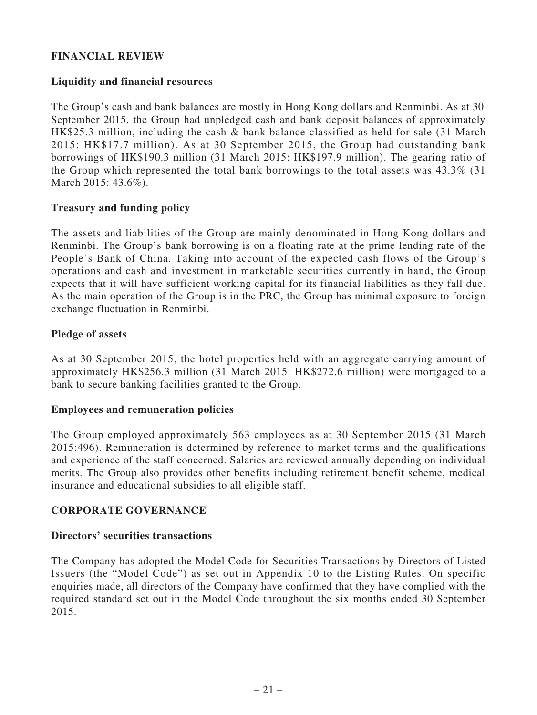# **FINANCIAL REVIEW**

### **Liquidity and financial resources**

The Group's cash and bank balances are mostly in Hong Kong dollars and Renminbi. As at 30 September 2015, the Group had unpledged cash and bank deposit balances of approximately HK\$25.3 million, including the cash & bank balance classified as held for sale (31 March 2015: HK\$17.7 million). As at 30 September 2015, the Group had outstanding bank borrowings of HK\$190.3 million (31 March 2015: HK\$197.9 million). The gearing ratio of the Group which represented the total bank borrowings to the total assets was 43.3% (31 March 2015: 43.6%).

### **Treasury and funding policy**

The assets and liabilities of the Group are mainly denominated in Hong Kong dollars and Renminbi. The Group's bank borrowing is on a floating rate at the prime lending rate of the People's Bank of China. Taking into account of the expected cash flows of the Group's operations and cash and investment in marketable securities currently in hand, the Group expects that it will have sufficient working capital for its financial liabilities as they fall due. As the main operation of the Group is in the PRC, the Group has minimal exposure to foreign exchange fluctuation in Renminbi.

### **Pledge of assets**

As at 30 September 2015, the hotel properties held with an aggregate carrying amount of approximately HK\$256.3 million (31 March 2015: HK\$272.6 million) were mortgaged to a bank to secure banking facilities granted to the Group.

### **Employees and remuneration policies**

The Group employed approximately 563 employees as at 30 September 2015 (31 March 2015:496). Remuneration is determined by reference to market terms and the qualifications and experience of the staff concerned. Salaries are reviewed annually depending on individual merits. The Group also provides other benefits including retirement benefit scheme, medical insurance and educational subsidies to all eligible staff.

### **CORPORATE GOVERNANCE**

### **Directors' securities transactions**

The Company has adopted the Model Code for Securities Transactions by Directors of Listed Issuers (the "Model Code") as set out in Appendix 10 to the Listing Rules. On specific enquiries made, all directors of the Company have confirmed that they have complied with the required standard set out in the Model Code throughout the six months ended 30 September 2015.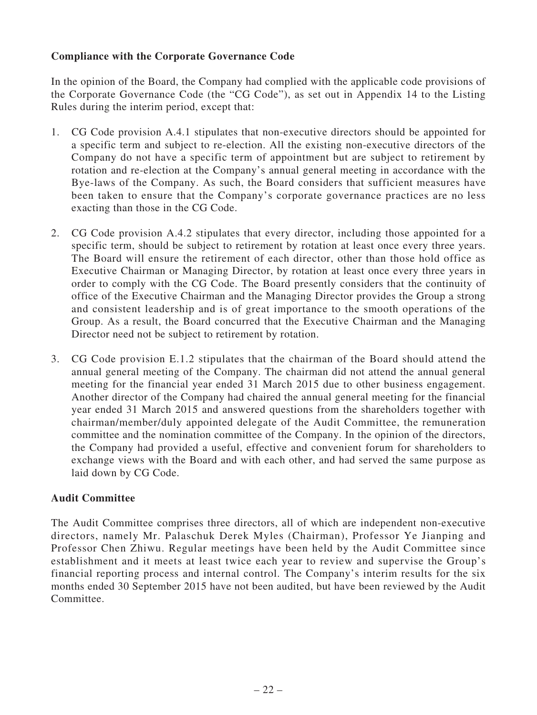# **Compliance with the Corporate Governance Code**

In the opinion of the Board, the Company had complied with the applicable code provisions of the Corporate Governance Code (the "CG Code"), as set out in Appendix 14 to the Listing Rules during the interim period, except that:

- 1. CG Code provision A.4.1 stipulates that non-executive directors should be appointed for a specific term and subject to re-election. All the existing non-executive directors of the Company do not have a specific term of appointment but are subject to retirement by rotation and re-election at the Company's annual general meeting in accordance with the Bye-laws of the Company. As such, the Board considers that sufficient measures have been taken to ensure that the Company's corporate governance practices are no less exacting than those in the CG Code.
- 2. CG Code provision A.4.2 stipulates that every director, including those appointed for a specific term, should be subject to retirement by rotation at least once every three years. The Board will ensure the retirement of each director, other than those hold office as Executive Chairman or Managing Director, by rotation at least once every three years in order to comply with the CG Code. The Board presently considers that the continuity of office of the Executive Chairman and the Managing Director provides the Group a strong and consistent leadership and is of great importance to the smooth operations of the Group. As a result, the Board concurred that the Executive Chairman and the Managing Director need not be subject to retirement by rotation.
- 3. CG Code provision E.1.2 stipulates that the chairman of the Board should attend the annual general meeting of the Company. The chairman did not attend the annual general meeting for the financial year ended 31 March 2015 due to other business engagement. Another director of the Company had chaired the annual general meeting for the financial year ended 31 March 2015 and answered questions from the shareholders together with chairman/member/duly appointed delegate of the Audit Committee, the remuneration committee and the nomination committee of the Company. In the opinion of the directors, the Company had provided a useful, effective and convenient forum for shareholders to exchange views with the Board and with each other, and had served the same purpose as laid down by CG Code.

### **Audit Committee**

The Audit Committee comprises three directors, all of which are independent non-executive directors, namely Mr. Palaschuk Derek Myles (Chairman), Professor Ye Jianping and Professor Chen Zhiwu. Regular meetings have been held by the Audit Committee since establishment and it meets at least twice each year to review and supervise the Group's financial reporting process and internal control. The Company's interim results for the six months ended 30 September 2015 have not been audited, but have been reviewed by the Audit Committee.